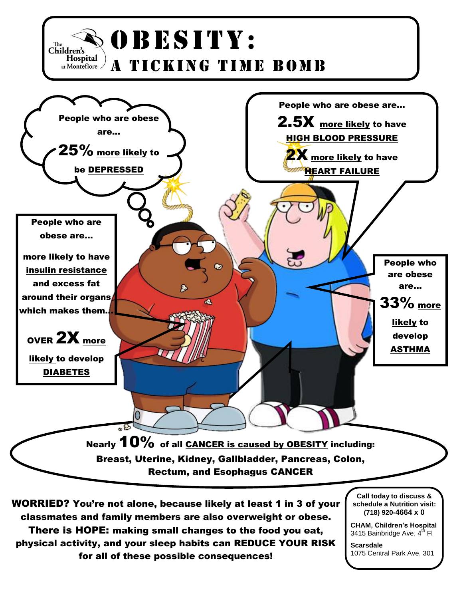

for all of these possible consequences!

1075 Central Park Ave, 301